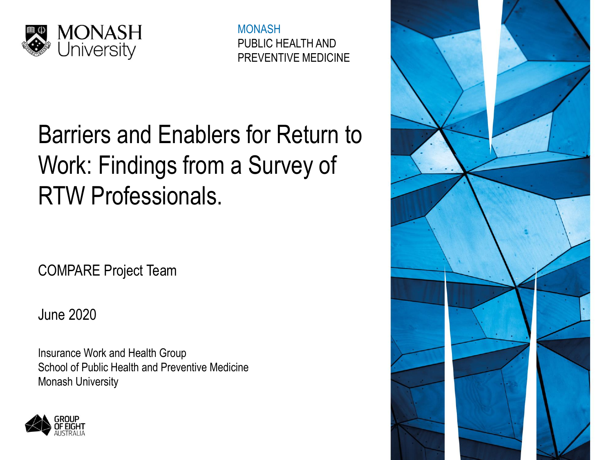

MONASH PUBLIC HEALTH AND PREVENTIVE MEDICINE

# Barriers and Enablers for Return to Work: Findings from a Survey of RTW Professionals.

COMPARE Project Team

June 2020

Insurance Work and Health Group School of Public Health and Preventive Medicine Monash University



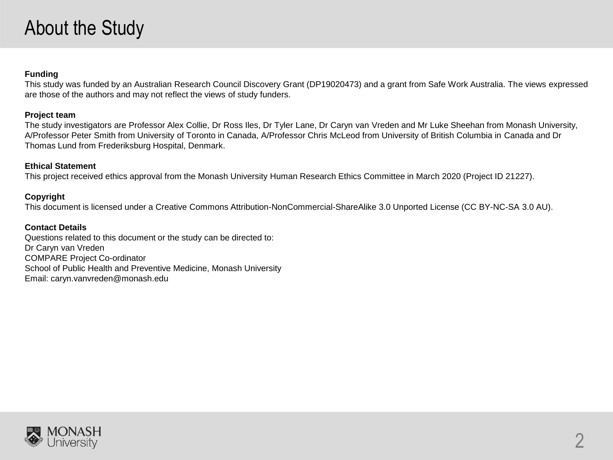## About the Study

#### **Funding**

This study was funded by an Australian Research Council Discovery Grant (DP19020473) and a grant from Safe Work Australia. The views expressed are those of the authors and may not reflect the views of study funders.

#### **Project team**

The study investigators are Professor Alex Collie, Dr Ross Iles, Dr Tyler Lane, Dr Caryn van Vreden and Mr Luke Sheehan from Monash University, A/Professor Peter Smith from University of Toronto in Canada, A/Professor Chris McLeod from University of British Columbia in Canada and Dr Thomas Lund from Frederiksburg Hospital, Denmark.

#### **Ethical Statement**

This project received ethics approval from the Monash University Human Research Ethics Committee in March 2020 (Project ID 21227).

#### **Copyright**

This document is licensed under a Creative Commons Attribution-NonCommercial-ShareAlike 3.0 Unported License (CC BY-NC-SA 3.0 AU).

#### **Contact Details**

Questions related to this document or the study can be directed to: Dr Caryn van Vreden COMPARE Project Co-ordinator School of Public Health and Preventive Medicine, Monash University Email: caryn.vanvreden@monash.edu

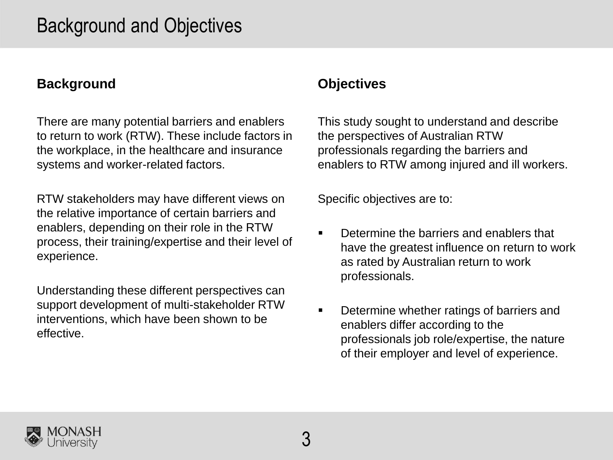### Background and Objectives

### **Background**

There are many potential barriers and enablers to return to work (RTW). These include factors in the workplace, in the healthcare and insurance systems and worker-related factors.

RTW stakeholders may have different views on the relative importance of certain barriers and enablers, depending on their role in the RTW process, their training/expertise and their level of experience.

Understanding these different perspectives can support development of multi-stakeholder RTW interventions, which have been shown to be effective.

### **Objectives**

This study sought to understand and describe the perspectives of Australian RTW professionals regarding the barriers and enablers to RTW among injured and ill workers.

Specific objectives are to:

- Determine the barriers and enablers that have the greatest influence on return to work as rated by Australian return to work professionals.
- **•** Determine whether ratings of barriers and enablers differ according to the professionals job role/expertise, the nature of their employer and level of experience.

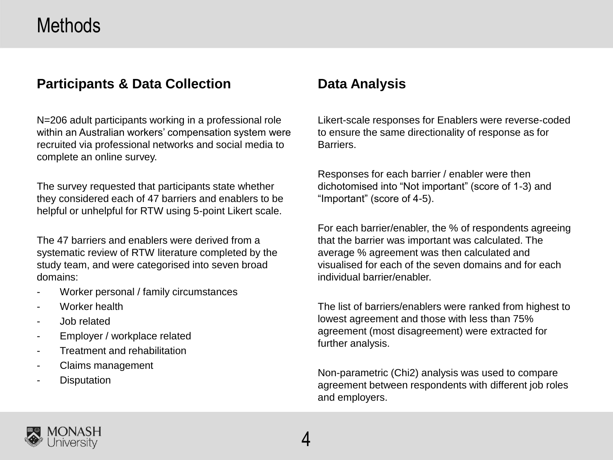### Methods

### **Participants & Data Collection**

N=206 adult participants working in a professional role within an Australian workers' compensation system were recruited via professional networks and social media to complete an online survey.

The survey requested that participants state whether they considered each of 47 barriers and enablers to be helpful or unhelpful for RTW using 5-point Likert scale.

The 47 barriers and enablers were derived from a systematic review of RTW literature completed by the study team, and were categorised into seven broad domains:

- Worker personal / family circumstances
- Worker health
- Job related
- Employer / workplace related
- Treatment and rehabilitation
- Claims management
- **Disputation**

### **Data Analysis**

Likert-scale responses for Enablers were reverse-coded to ensure the same directionality of response as for Barriers.

Responses for each barrier / enabler were then dichotomised into "Not important" (score of 1-3) and "Important" (score of 4-5).

For each barrier/enabler, the % of respondents agreeing that the barrier was important was calculated. The average % agreement was then calculated and visualised for each of the seven domains and for each individual barrier/enabler.

The list of barriers/enablers were ranked from highest to lowest agreement and those with less than 75% agreement (most disagreement) were extracted for further analysis.

Non-parametric (Chi2) analysis was used to compare agreement between respondents with different job roles and employers.

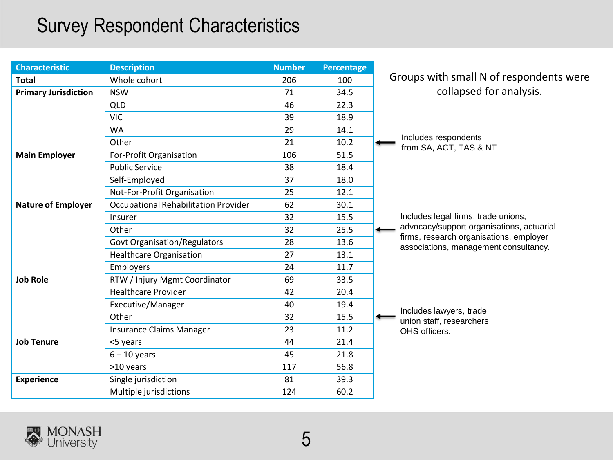## Survey Respondent Characteristics

| <b>Characteristic</b>       | <b>Description</b>                          | <b>Number</b> | <b>Percentage</b> |                                                                                  |
|-----------------------------|---------------------------------------------|---------------|-------------------|----------------------------------------------------------------------------------|
| <b>Total</b>                | Whole cohort                                | 206           | 100               | Groups with small N of respondents were                                          |
| <b>Primary Jurisdiction</b> | <b>NSW</b>                                  | 71            | 34.5              | collapsed for analysis.                                                          |
|                             | <b>QLD</b>                                  | 46            | 22.3              |                                                                                  |
|                             | <b>VIC</b>                                  | 39            | 18.9              |                                                                                  |
|                             | <b>WA</b>                                   | 29            | 14.1              |                                                                                  |
|                             | Other                                       | 21            | 10.2              | Includes respondents<br>from SA, ACT, TAS & NT                                   |
| <b>Main Employer</b>        | For-Profit Organisation                     | 106           | 51.5              |                                                                                  |
|                             | <b>Public Service</b>                       | 38            | 18.4              |                                                                                  |
|                             | Self-Employed                               | 37            | 18.0              |                                                                                  |
|                             | Not-For-Profit Organisation                 | 25            | 12.1              |                                                                                  |
| <b>Nature of Employer</b>   | <b>Occupational Rehabilitation Provider</b> | 62            | 30.1              |                                                                                  |
|                             | Insurer                                     | 32            | 15.5              | Includes legal firms, trade unions,                                              |
|                             | Other                                       | 32            | 25.5              | advocacy/support organisations, actuarial                                        |
|                             | <b>Govt Organisation/Regulators</b>         | 28            | 13.6              | firms, research organisations, employer<br>associations, management consultancy. |
|                             | <b>Healthcare Organisation</b>              | 27            | 13.1              |                                                                                  |
|                             | <b>Employers</b>                            | 24            | 11.7              |                                                                                  |
| <b>Job Role</b>             | RTW / Injury Mgmt Coordinator               | 69            | 33.5              |                                                                                  |
|                             | <b>Healthcare Provider</b>                  | 42            | 20.4              |                                                                                  |
|                             | Executive/Manager                           | 40            | 19.4              | Includes lawyers, trade                                                          |
|                             | Other                                       | 32            | 15.5              | union staff, researchers                                                         |
|                             | <b>Insurance Claims Manager</b>             | 23            | 11.2              | OHS officers.                                                                    |
| <b>Job Tenure</b>           | <5 years                                    | 44            | 21.4              |                                                                                  |
|                             | $6 - 10$ years                              | 45            | 21.8              |                                                                                  |
|                             | >10 years                                   | 117           | 56.8              |                                                                                  |
| <b>Experience</b>           | Single jurisdiction                         | 81            | 39.3              |                                                                                  |
|                             | Multiple jurisdictions                      | 124           | 60.2              |                                                                                  |

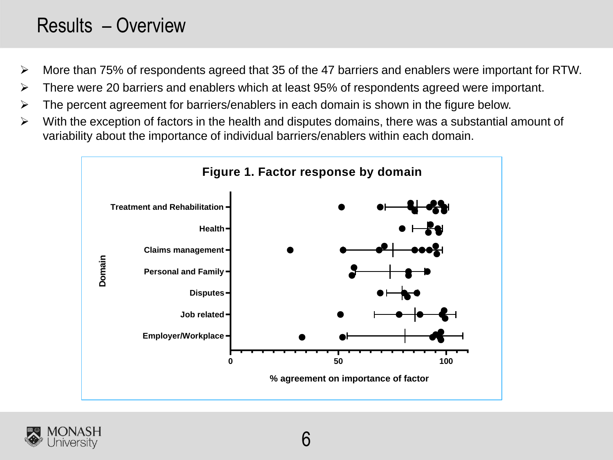## Results – Overview

- ➢ More than 75% of respondents agreed that 35 of the 47 barriers and enablers were important for RTW.
- ➢ There were 20 barriers and enablers which at least 95% of respondents agreed were important.
- The percent agreement for barriers/enablers in each domain is shown in the figure below.
- ➢ With the exception of factors in the health and disputes domains, there was a substantial amount of variability about the importance of individual barriers/enablers within each domain.



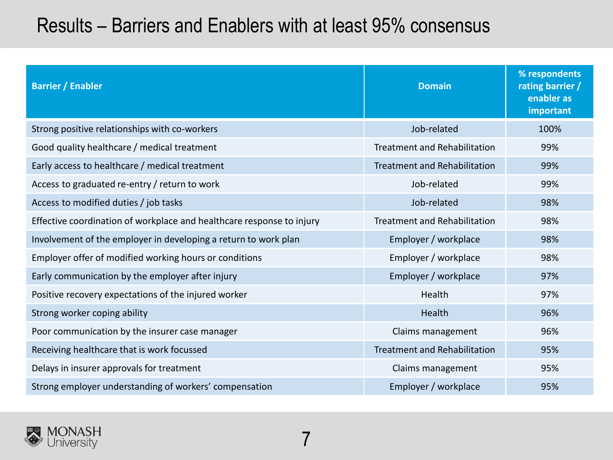## Results – Barriers and Enablers with at least 95% consensus

| <b>Barrier / Enabler</b>                                              | <b>Domain</b>                       | % respondents<br>rating barrier /<br>enabler as<br>important |
|-----------------------------------------------------------------------|-------------------------------------|--------------------------------------------------------------|
| Strong positive relationships with co-workers                         | Job-related                         | 100%                                                         |
| Good quality healthcare / medical treatment                           | <b>Treatment and Rehabilitation</b> | 99%                                                          |
| Early access to healthcare / medical treatment                        | <b>Treatment and Rehabilitation</b> | 99%                                                          |
| Access to graduated re-entry / return to work                         | Job-related                         | 99%                                                          |
| Access to modified duties / job tasks                                 | Job-related                         | 98%                                                          |
| Effective coordination of workplace and healthcare response to injury | <b>Treatment and Rehabilitation</b> | 98%                                                          |
| Involvement of the employer in developing a return to work plan       | Employer / workplace                | 98%                                                          |
| Employer offer of modified working hours or conditions                | Employer / workplace                | 98%                                                          |
| Early communication by the employer after injury                      | Employer / workplace                | 97%                                                          |
| Positive recovery expectations of the injured worker                  | Health                              | 97%                                                          |
| Strong worker coping ability                                          | Health                              | 96%                                                          |
| Poor communication by the insurer case manager                        | Claims management                   | 96%                                                          |
| Receiving healthcare that is work focussed                            | <b>Treatment and Rehabilitation</b> | 95%                                                          |
| Delays in insurer approvals for treatment                             | Claims management                   | 95%                                                          |
| Strong employer understanding of workers' compensation                | Employer / workplace                | 95%                                                          |

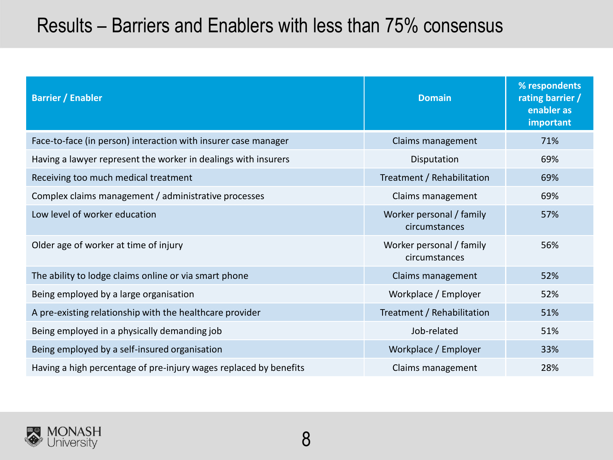## Results – Barriers and Enablers with less than 75% consensus

| <b>Barrier / Enabler</b>                                          | <b>Domain</b>                             | % respondents<br>rating barrier /<br>enabler as<br>important |
|-------------------------------------------------------------------|-------------------------------------------|--------------------------------------------------------------|
| Face-to-face (in person) interaction with insurer case manager    | Claims management                         | 71%                                                          |
| Having a lawyer represent the worker in dealings with insurers    | Disputation                               | 69%                                                          |
| Receiving too much medical treatment                              | Treatment / Rehabilitation                | 69%                                                          |
| Complex claims management / administrative processes              | Claims management                         | 69%                                                          |
| Low level of worker education                                     | Worker personal / family<br>circumstances | 57%                                                          |
| Older age of worker at time of injury                             | Worker personal / family<br>circumstances | 56%                                                          |
| The ability to lodge claims online or via smart phone             | Claims management                         | 52%                                                          |
| Being employed by a large organisation                            | Workplace / Employer                      | 52%                                                          |
| A pre-existing relationship with the healthcare provider          | Treatment / Rehabilitation                | 51%                                                          |
| Being employed in a physically demanding job                      | Job-related                               | 51%                                                          |
| Being employed by a self-insured organisation                     | Workplace / Employer                      | 33%                                                          |
| Having a high percentage of pre-injury wages replaced by benefits | Claims management                         | 28%                                                          |

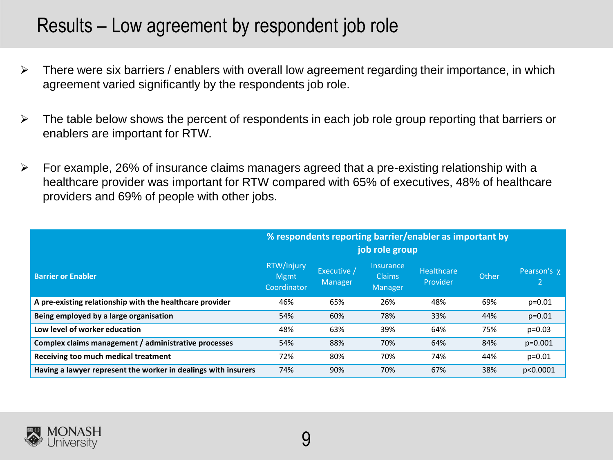### Results – Low agreement by respondent job role

- $\triangleright$  There were six barriers / enablers with overall low agreement regarding their importance, in which agreement varied significantly by the respondents job role.
- $\triangleright$  The table below shows the percent of respondents in each job role group reporting that barriers or enablers are important for RTW.
- ➢ For example, 26% of insurance claims managers agreed that a pre-existing relationship with a healthcare provider was important for RTW compared with 65% of executives, 48% of healthcare providers and 69% of people with other jobs.

|                                                                | % respondents reporting barrier/enabler as important by<br>job role group |                        |                                                                   |                        |       |             |  |
|----------------------------------------------------------------|---------------------------------------------------------------------------|------------------------|-------------------------------------------------------------------|------------------------|-------|-------------|--|
| <b>Barrier or Enabler</b>                                      | RTW/Injury<br><b>Mgmt</b><br>Coordinator                                  | Executive /<br>Manager | <i><u><b>Insurance</b></u></i><br><b>Claims</b><br><b>Manager</b> | Healthcare<br>Provider | Other | Pearson's x |  |
| A pre-existing relationship with the healthcare provider       | 46%                                                                       | 65%                    | 26%                                                               | 48%                    | 69%   | $p = 0.01$  |  |
| Being employed by a large organisation                         | 54%                                                                       | 60%                    | 78%                                                               | 33%                    | 44%   | $p=0.01$    |  |
| Low level of worker education                                  | 48%                                                                       | 63%                    | 39%                                                               | 64%                    | 75%   | $p=0.03$    |  |
| Complex claims management / administrative processes           | 54%                                                                       | 88%                    | 70%                                                               | 64%                    | 84%   | $p=0.001$   |  |
| Receiving too much medical treatment                           | 72%                                                                       | 80%                    | 70%                                                               | 74%                    | 44%   | $p = 0.01$  |  |
| Having a lawyer represent the worker in dealings with insurers | 74%                                                                       | 90%                    | 70%                                                               | 67%                    | 38%   | p<0.0001    |  |

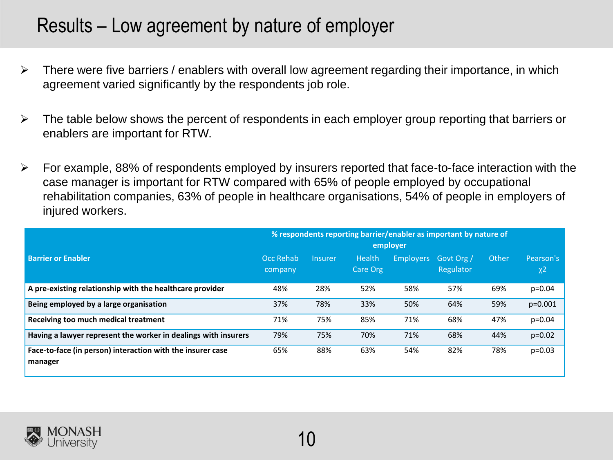### Results – Low agreement by nature of employer

- $\triangleright$  There were five barriers / enablers with overall low agreement regarding their importance, in which agreement varied significantly by the respondents job role.
- $\triangleright$  The table below shows the percent of respondents in each employer group reporting that barriers or enablers are important for RTW.
- ➢ For example, 88% of respondents employed by insurers reported that face-to-face interaction with the case manager is important for RTW compared with 65% of people employed by occupational rehabilitation companies, 63% of people in healthcare organisations, 54% of people in employers of injured workers.

|                                                                       | % respondents reporting barrier/enabler as important by nature of<br>employer |                |                           |                  |                         |       |                                  |
|-----------------------------------------------------------------------|-------------------------------------------------------------------------------|----------------|---------------------------|------------------|-------------------------|-------|----------------------------------|
| <b>Barrier or Enabler</b>                                             | Occ Rehab<br>company                                                          | <b>Insurer</b> | <b>Health</b><br>Care Org | <b>Employers</b> | Govt Org /<br>Regulator | Other | Pearson's<br>$\chi$ <sup>2</sup> |
| A pre-existing relationship with the healthcare provider              | 48%                                                                           | 28%            | 52%                       | 58%              | 57%                     | 69%   | $p = 0.04$                       |
| Being employed by a large organisation                                | 37%                                                                           | 78%            | 33%                       | 50%              | 64%                     | 59%   | $p = 0.001$                      |
| Receiving too much medical treatment                                  | 71%                                                                           | 75%            | 85%                       | 71%              | 68%                     | 47%   | $p = 0.04$                       |
| Having a lawyer represent the worker in dealings with insurers        | 79%                                                                           | 75%            | 70%                       | 71%              | 68%                     | 44%   | $p=0.02$                         |
| Face-to-face (in person) interaction with the insurer case<br>manager | 65%                                                                           | 88%            | 63%                       | 54%              | 82%                     | 78%   | $p = 0.03$                       |